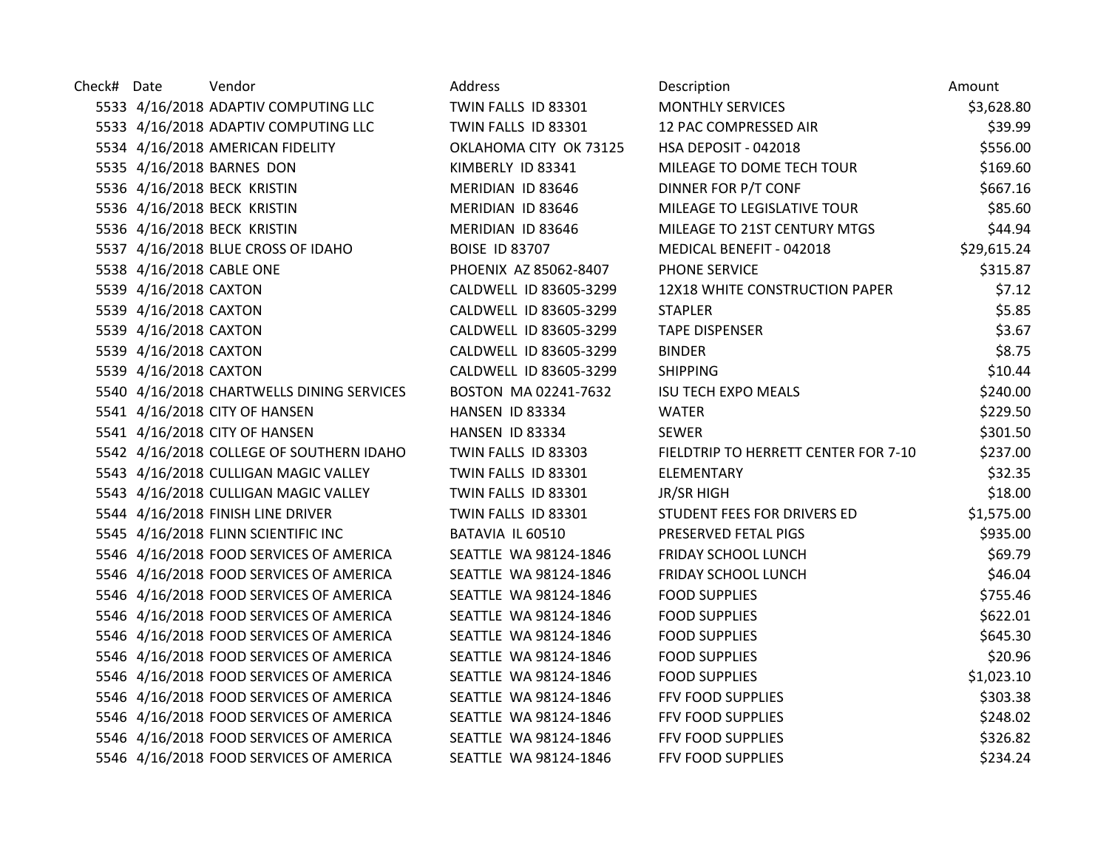| Check# Date |                          | Vendor                                    | Address                | Description                          | Amount      |
|-------------|--------------------------|-------------------------------------------|------------------------|--------------------------------------|-------------|
|             |                          | 5533 4/16/2018 ADAPTIV COMPUTING LLC      | TWIN FALLS ID 83301    | <b>MONTHLY SERVICES</b>              | \$3,628.80  |
|             |                          | 5533 4/16/2018 ADAPTIV COMPUTING LLC      | TWIN FALLS ID 83301    | 12 PAC COMPRESSED AIR                | \$39.99     |
|             |                          | 5534 4/16/2018 AMERICAN FIDELITY          | OKLAHOMA CITY OK 73125 | HSA DEPOSIT - 042018                 | \$556.00    |
|             |                          | 5535 4/16/2018 BARNES DON                 | KIMBERLY ID 83341      | MILEAGE TO DOME TECH TOUR            | \$169.60    |
|             |                          | 5536 4/16/2018 BECK KRISTIN               | MERIDIAN ID 83646      | DINNER FOR P/T CONF                  | \$667.16    |
|             |                          | 5536 4/16/2018 BECK KRISTIN               | MERIDIAN ID 83646      | MILEAGE TO LEGISLATIVE TOUR          | \$85.60     |
|             |                          | 5536 4/16/2018 BECK KRISTIN               | MERIDIAN ID 83646      | MILEAGE TO 21ST CENTURY MTGS         | \$44.94     |
|             |                          | 5537 4/16/2018 BLUE CROSS OF IDAHO        | <b>BOISE ID 83707</b>  | MEDICAL BENEFIT - 042018             | \$29,615.24 |
|             | 5538 4/16/2018 CABLE ONE |                                           | PHOENIX AZ 85062-8407  | PHONE SERVICE                        | \$315.87    |
|             | 5539 4/16/2018 CAXTON    |                                           | CALDWELL ID 83605-3299 | 12X18 WHITE CONSTRUCTION PAPER       | \$7.12      |
|             | 5539 4/16/2018 CAXTON    |                                           | CALDWELL ID 83605-3299 | <b>STAPLER</b>                       | \$5.85      |
|             | 5539 4/16/2018 CAXTON    |                                           | CALDWELL ID 83605-3299 | <b>TAPE DISPENSER</b>                | \$3.67      |
|             | 5539 4/16/2018 CAXTON    |                                           | CALDWELL ID 83605-3299 | <b>BINDER</b>                        | \$8.75      |
|             | 5539 4/16/2018 CAXTON    |                                           | CALDWELL ID 83605-3299 | <b>SHIPPING</b>                      | \$10.44     |
|             |                          | 5540 4/16/2018 CHARTWELLS DINING SERVICES | BOSTON MA 02241-7632   | <b>ISU TECH EXPO MEALS</b>           | \$240.00    |
|             |                          | 5541 4/16/2018 CITY OF HANSEN             | HANSEN ID 83334        | <b>WATER</b>                         | \$229.50    |
|             |                          | 5541 4/16/2018 CITY OF HANSEN             | HANSEN ID 83334        | <b>SEWER</b>                         | \$301.50    |
|             |                          | 5542 4/16/2018 COLLEGE OF SOUTHERN IDAHO  | TWIN FALLS ID 83303    | FIELDTRIP TO HERRETT CENTER FOR 7-10 | \$237.00    |
|             |                          | 5543 4/16/2018 CULLIGAN MAGIC VALLEY      | TWIN FALLS ID 83301    | ELEMENTARY                           | \$32.35     |
|             |                          | 5543 4/16/2018 CULLIGAN MAGIC VALLEY      | TWIN FALLS ID 83301    | <b>JR/SR HIGH</b>                    | \$18.00     |
|             |                          | 5544 4/16/2018 FINISH LINE DRIVER         | TWIN FALLS ID 83301    | STUDENT FEES FOR DRIVERS ED          | \$1,575.00  |
|             |                          | 5545 4/16/2018 FLINN SCIENTIFIC INC       | BATAVIA IL 60510       | PRESERVED FETAL PIGS                 | \$935.00    |
|             |                          | 5546 4/16/2018 FOOD SERVICES OF AMERICA   | SEATTLE WA 98124-1846  | FRIDAY SCHOOL LUNCH                  | \$69.79     |
|             |                          | 5546 4/16/2018 FOOD SERVICES OF AMERICA   | SEATTLE WA 98124-1846  | FRIDAY SCHOOL LUNCH                  | \$46.04     |
|             |                          | 5546 4/16/2018 FOOD SERVICES OF AMERICA   | SEATTLE WA 98124-1846  | <b>FOOD SUPPLIES</b>                 | \$755.46    |
|             |                          | 5546 4/16/2018 FOOD SERVICES OF AMERICA   | SEATTLE WA 98124-1846  | <b>FOOD SUPPLIES</b>                 | \$622.01    |
|             |                          | 5546 4/16/2018 FOOD SERVICES OF AMERICA   | SEATTLE WA 98124-1846  | <b>FOOD SUPPLIES</b>                 | \$645.30    |
|             |                          | 5546 4/16/2018 FOOD SERVICES OF AMERICA   | SEATTLE WA 98124-1846  | <b>FOOD SUPPLIES</b>                 | \$20.96     |
|             |                          | 5546 4/16/2018 FOOD SERVICES OF AMERICA   | SEATTLE WA 98124-1846  | <b>FOOD SUPPLIES</b>                 | \$1,023.10  |
|             |                          | 5546 4/16/2018 FOOD SERVICES OF AMERICA   | SEATTLE WA 98124-1846  | FFV FOOD SUPPLIES                    | \$303.38    |
|             |                          | 5546 4/16/2018 FOOD SERVICES OF AMERICA   | SEATTLE WA 98124-1846  | FFV FOOD SUPPLIES                    | \$248.02    |
|             |                          | 5546 4/16/2018 FOOD SERVICES OF AMERICA   | SEATTLE WA 98124-1846  | FFV FOOD SUPPLIES                    | \$326.82    |
|             |                          | 5546 4/16/2018 FOOD SERVICES OF AMERICA   | SEATTLE WA 98124-1846  | FFV FOOD SUPPLIES                    | \$234.24    |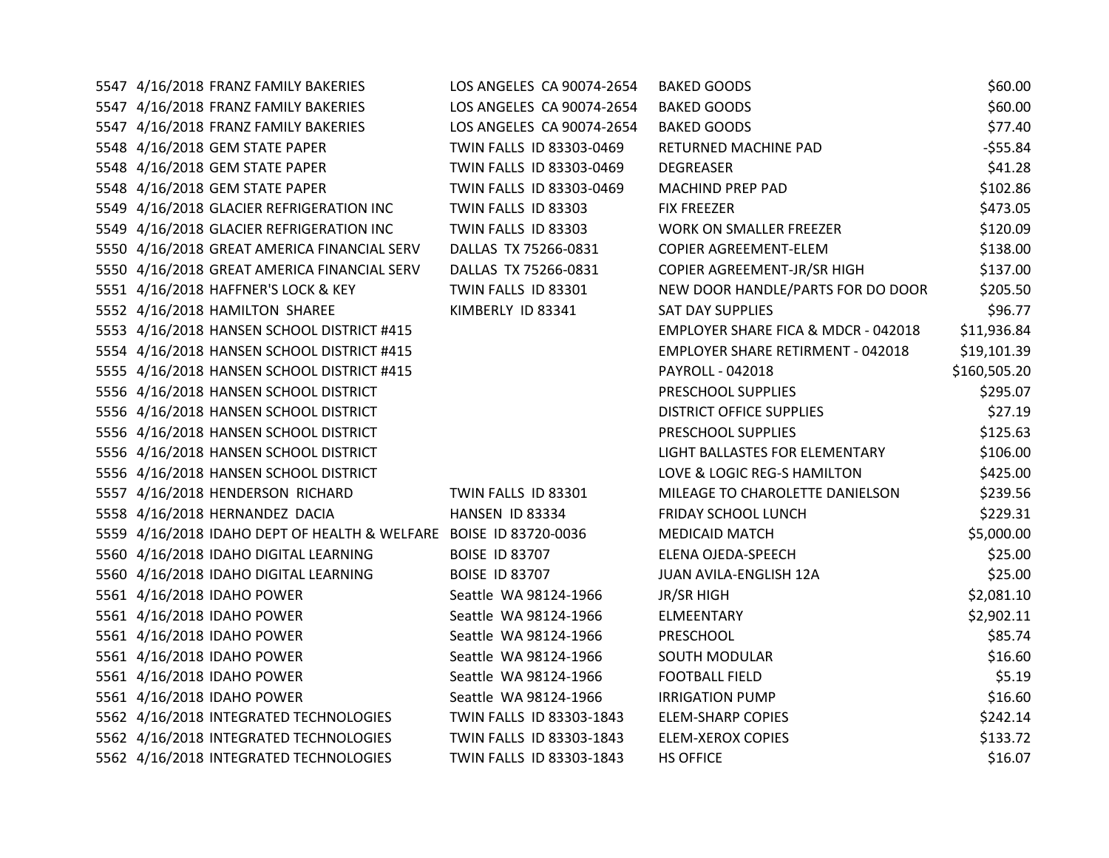| 5547 4/16/2018 FRANZ FAMILY BAKERIES                              | LOS ANGELES CA 90074-2654 | <b>BAKED GOODS</b>                       | \$60.00      |
|-------------------------------------------------------------------|---------------------------|------------------------------------------|--------------|
| 5547 4/16/2018 FRANZ FAMILY BAKERIES                              | LOS ANGELES CA 90074-2654 | <b>BAKED GOODS</b>                       | \$60.00      |
| 5547 4/16/2018 FRANZ FAMILY BAKERIES                              | LOS ANGELES CA 90074-2654 | <b>BAKED GOODS</b>                       | \$77.40      |
| 5548 4/16/2018 GEM STATE PAPER                                    | TWIN FALLS ID 83303-0469  | RETURNED MACHINE PAD                     | $-555.84$    |
| 5548 4/16/2018 GEM STATE PAPER                                    | TWIN FALLS ID 83303-0469  | <b>DEGREASER</b>                         | \$41.28      |
| 5548 4/16/2018 GEM STATE PAPER                                    | TWIN FALLS ID 83303-0469  | <b>MACHIND PREP PAD</b>                  | \$102.86     |
| 5549 4/16/2018 GLACIER REFRIGERATION INC                          | TWIN FALLS ID 83303       | <b>FIX FREEZER</b>                       | \$473.05     |
| 5549 4/16/2018 GLACIER REFRIGERATION INC                          | TWIN FALLS ID 83303       | WORK ON SMALLER FREEZER                  | \$120.09     |
| 5550 4/16/2018 GREAT AMERICA FINANCIAL SERV                       | DALLAS TX 75266-0831      | COPIER AGREEMENT-ELEM                    | \$138.00     |
| 5550 4/16/2018 GREAT AMERICA FINANCIAL SERV                       | DALLAS TX 75266-0831      | COPIER AGREEMENT-JR/SR HIGH              | \$137.00     |
| 5551 4/16/2018 HAFFNER'S LOCK & KEY                               | TWIN FALLS ID 83301       | NEW DOOR HANDLE/PARTS FOR DO DOOR        | \$205.50     |
| 5552 4/16/2018 HAMILTON SHAREE                                    | KIMBERLY ID 83341         | <b>SAT DAY SUPPLIES</b>                  | \$96.77      |
| 5553 4/16/2018 HANSEN SCHOOL DISTRICT #415                        |                           | EMPLOYER SHARE FICA & MDCR - 042018      | \$11,936.84  |
| 5554 4/16/2018 HANSEN SCHOOL DISTRICT #415                        |                           | <b>EMPLOYER SHARE RETIRMENT - 042018</b> | \$19,101.39  |
| 5555 4/16/2018 HANSEN SCHOOL DISTRICT #415                        |                           | PAYROLL - 042018                         | \$160,505.20 |
| 5556 4/16/2018 HANSEN SCHOOL DISTRICT                             |                           | PRESCHOOL SUPPLIES                       | \$295.07     |
| 5556 4/16/2018 HANSEN SCHOOL DISTRICT                             |                           | <b>DISTRICT OFFICE SUPPLIES</b>          | \$27.19      |
| 5556 4/16/2018 HANSEN SCHOOL DISTRICT                             |                           | PRESCHOOL SUPPLIES                       | \$125.63     |
| 5556 4/16/2018 HANSEN SCHOOL DISTRICT                             |                           | LIGHT BALLASTES FOR ELEMENTARY           | \$106.00     |
| 5556 4/16/2018 HANSEN SCHOOL DISTRICT                             |                           | LOVE & LOGIC REG-S HAMILTON              | \$425.00     |
| 5557 4/16/2018 HENDERSON RICHARD                                  | TWIN FALLS ID 83301       | MILEAGE TO CHAROLETTE DANIELSON          | \$239.56     |
| 5558 4/16/2018 HERNANDEZ DACIA                                    | HANSEN ID 83334           | <b>FRIDAY SCHOOL LUNCH</b>               | \$229.31     |
| 5559 4/16/2018 IDAHO DEPT OF HEALTH & WELFARE BOISE ID 83720-0036 |                           | <b>MEDICAID MATCH</b>                    | \$5,000.00   |
| 5560 4/16/2018 IDAHO DIGITAL LEARNING                             | <b>BOISE ID 83707</b>     | ELENA OJEDA-SPEECH                       | \$25.00      |
| 5560 4/16/2018 IDAHO DIGITAL LEARNING                             | <b>BOISE ID 83707</b>     | JUAN AVILA-ENGLISH 12A                   | \$25.00      |
| 5561 4/16/2018 IDAHO POWER                                        | Seattle WA 98124-1966     | <b>JR/SR HIGH</b>                        | \$2,081.10   |
| 5561 4/16/2018 IDAHO POWER                                        | Seattle WA 98124-1966     | ELMEENTARY                               | \$2,902.11   |
| 5561 4/16/2018 IDAHO POWER                                        | Seattle WA 98124-1966     | PRESCHOOL                                | \$85.74      |
| 5561 4/16/2018 IDAHO POWER                                        | Seattle WA 98124-1966     | SOUTH MODULAR                            | \$16.60      |
| 5561 4/16/2018 IDAHO POWER                                        | Seattle WA 98124-1966     | <b>FOOTBALL FIELD</b>                    | \$5.19       |
| 5561 4/16/2018 IDAHO POWER                                        | Seattle WA 98124-1966     | <b>IRRIGATION PUMP</b>                   | \$16.60      |
| 5562 4/16/2018 INTEGRATED TECHNOLOGIES                            | TWIN FALLS ID 83303-1843  | <b>ELEM-SHARP COPIES</b>                 | \$242.14     |
| 5562 4/16/2018 INTEGRATED TECHNOLOGIES                            | TWIN FALLS ID 83303-1843  | <b>ELEM-XEROX COPIES</b>                 | \$133.72     |
| 5562 4/16/2018 INTEGRATED TECHNOLOGIES                            | TWIN FALLS ID 83303-1843  | <b>HS OFFICE</b>                         | \$16.07      |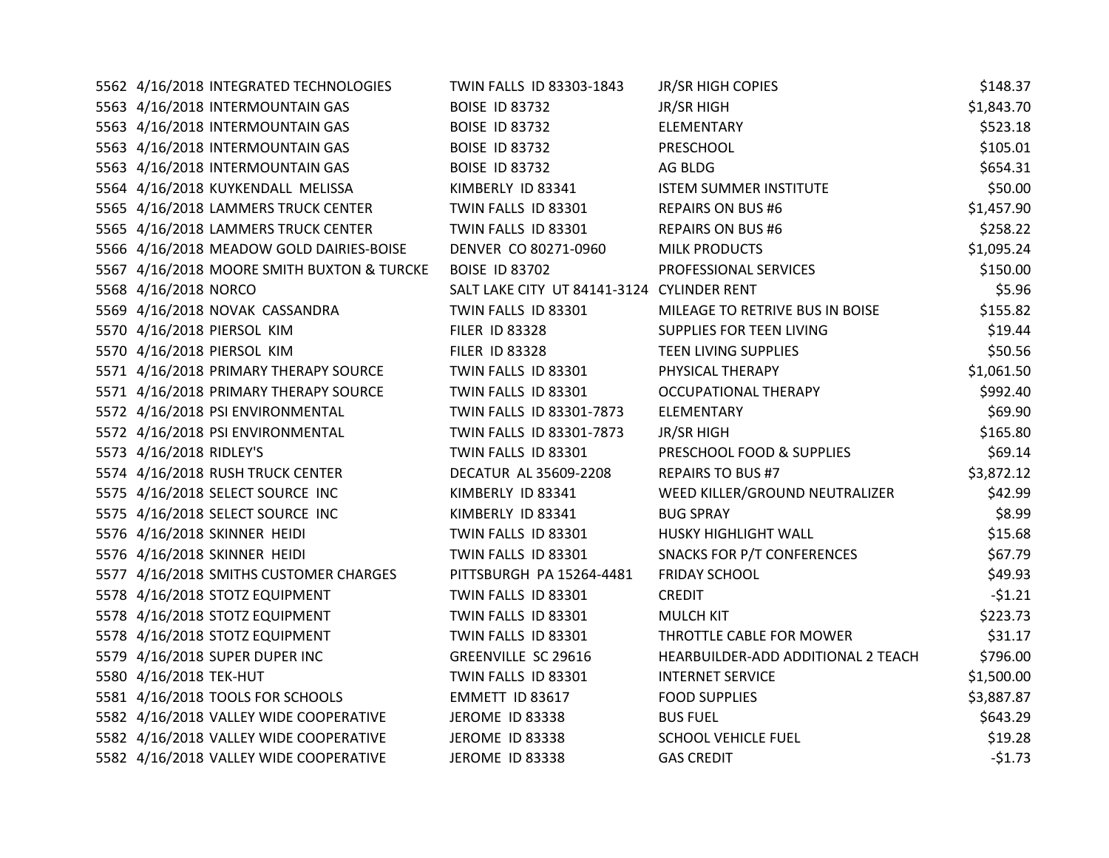| 5562 4/16/2018 INTEGRATED TECHNOLOGIES     | TWIN FALLS ID 83303-1843                   | JR/SR HIGH COPIES                  | \$148.37   |
|--------------------------------------------|--------------------------------------------|------------------------------------|------------|
| 5563 4/16/2018 INTERMOUNTAIN GAS           | <b>BOISE ID 83732</b>                      | JR/SR HIGH                         | \$1,843.70 |
| 5563 4/16/2018 INTERMOUNTAIN GAS           | <b>BOISE ID 83732</b>                      | ELEMENTARY                         | \$523.18   |
| 5563 4/16/2018 INTERMOUNTAIN GAS           | <b>BOISE ID 83732</b>                      | PRESCHOOL                          | \$105.01   |
| 5563 4/16/2018 INTERMOUNTAIN GAS           | <b>BOISE ID 83732</b>                      | AG BLDG                            | \$654.31   |
| 5564 4/16/2018 KUYKENDALL MELISSA          | KIMBERLY ID 83341                          | <b>ISTEM SUMMER INSTITUTE</b>      | \$50.00    |
| 5565 4/16/2018 LAMMERS TRUCK CENTER        | TWIN FALLS ID 83301                        | <b>REPAIRS ON BUS #6</b>           | \$1,457.90 |
| 5565 4/16/2018 LAMMERS TRUCK CENTER        | TWIN FALLS ID 83301                        | <b>REPAIRS ON BUS #6</b>           | \$258.22   |
| 5566 4/16/2018 MEADOW GOLD DAIRIES-BOISE   | DENVER CO 80271-0960                       | <b>MILK PRODUCTS</b>               | \$1,095.24 |
| 5567 4/16/2018 MOORE SMITH BUXTON & TURCKE | <b>BOISE ID 83702</b>                      | PROFESSIONAL SERVICES              | \$150.00   |
| 5568 4/16/2018 NORCO                       | SALT LAKE CITY UT 84141-3124 CYLINDER RENT |                                    | \$5.96     |
| 5569 4/16/2018 NOVAK CASSANDRA             | TWIN FALLS ID 83301                        | MILEAGE TO RETRIVE BUS IN BOISE    | \$155.82   |
| 5570 4/16/2018 PIERSOL KIM                 | <b>FILER ID 83328</b>                      | <b>SUPPLIES FOR TEEN LIVING</b>    | \$19.44    |
| 5570 4/16/2018 PIERSOL KIM                 | <b>FILER ID 83328</b>                      | <b>TEEN LIVING SUPPLIES</b>        | \$50.56    |
| 5571 4/16/2018 PRIMARY THERAPY SOURCE      | TWIN FALLS ID 83301                        | PHYSICAL THERAPY                   | \$1,061.50 |
| 5571 4/16/2018 PRIMARY THERAPY SOURCE      | TWIN FALLS ID 83301                        | <b>OCCUPATIONAL THERAPY</b>        | \$992.40   |
| 5572 4/16/2018 PSI ENVIRONMENTAL           | TWIN FALLS ID 83301-7873                   | ELEMENTARY                         | \$69.90    |
| 5572 4/16/2018 PSI ENVIRONMENTAL           | TWIN FALLS ID 83301-7873                   | JR/SR HIGH                         | \$165.80   |
| 5573 4/16/2018 RIDLEY'S                    | TWIN FALLS ID 83301                        | PRESCHOOL FOOD & SUPPLIES          | \$69.14    |
| 5574 4/16/2018 RUSH TRUCK CENTER           | DECATUR AL 35609-2208                      | <b>REPAIRS TO BUS #7</b>           | \$3,872.12 |
| 5575 4/16/2018 SELECT SOURCE INC           | KIMBERLY ID 83341                          | WEED KILLER/GROUND NEUTRALIZER     | \$42.99    |
| 5575 4/16/2018 SELECT SOURCE INC           | KIMBERLY ID 83341                          | <b>BUG SPRAY</b>                   | \$8.99     |
| 5576 4/16/2018 SKINNER HEIDI               | TWIN FALLS ID 83301                        | <b>HUSKY HIGHLIGHT WALL</b>        | \$15.68    |
| 5576 4/16/2018 SKINNER HEIDI               | TWIN FALLS ID 83301                        | <b>SNACKS FOR P/T CONFERENCES</b>  | \$67.79    |
| 5577 4/16/2018 SMITHS CUSTOMER CHARGES     | PITTSBURGH PA 15264-4481                   | <b>FRIDAY SCHOOL</b>               | \$49.93    |
| 5578 4/16/2018 STOTZ EQUIPMENT             | TWIN FALLS ID 83301                        | <b>CREDIT</b>                      | $-51.21$   |
| 5578 4/16/2018 STOTZ EQUIPMENT             | TWIN FALLS ID 83301                        | <b>MULCH KIT</b>                   | \$223.73   |
| 5578 4/16/2018 STOTZ EQUIPMENT             | TWIN FALLS ID 83301                        | THROTTLE CABLE FOR MOWER           | \$31.17    |
| 5579 4/16/2018 SUPER DUPER INC             | <b>GREENVILLE SC 29616</b>                 | HEARBUILDER-ADD ADDITIONAL 2 TEACH | \$796.00   |
| 5580 4/16/2018 TEK-HUT                     | TWIN FALLS ID 83301                        | <b>INTERNET SERVICE</b>            | \$1,500.00 |
| 5581 4/16/2018 TOOLS FOR SCHOOLS           | EMMETT ID 83617                            | <b>FOOD SUPPLIES</b>               | \$3,887.87 |
| 5582 4/16/2018 VALLEY WIDE COOPERATIVE     | JEROME ID 83338                            | <b>BUS FUEL</b>                    | \$643.29   |
| 5582 4/16/2018 VALLEY WIDE COOPERATIVE     | JEROME ID 83338                            | SCHOOL VEHICLE FUEL                | \$19.28    |
| 5582 4/16/2018 VALLEY WIDE COOPERATIVE     | JEROME ID 83338                            | <b>GAS CREDIT</b>                  | $-51.73$   |